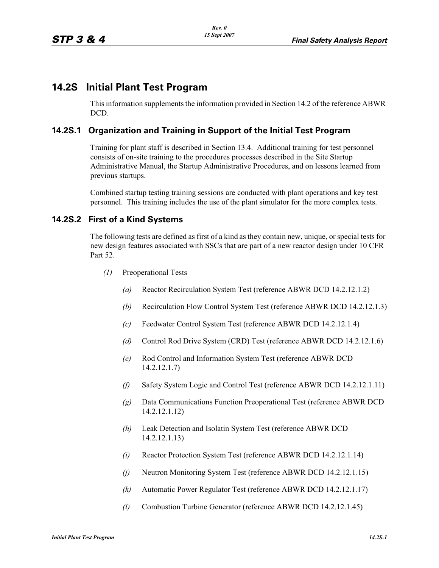# **14.2S Initial Plant Test Program**

This information supplements the information provided in Section 14.2 of the reference ABWR DCD.

## **14.2S.1 Organization and Training in Support of the Initial Test Program**

Training for plant staff is described in Section 13.4. Additional training for test personnel consists of on-site training to the procedures processes described in the Site Startup Administrative Manual, the Startup Administrative Procedures, and on lessons learned from previous startups.

Combined startup testing training sessions are conducted with plant operations and key test personnel. This training includes the use of the plant simulator for the more complex tests.

## **14.2S.2 First of a Kind Systems**

The following tests are defined as first of a kind as they contain new, unique, or special tests for new design features associated with SSCs that are part of a new reactor design under 10 CFR Part 52.

- *(1)* Preoperational Tests
	- *(a)* Reactor Recirculation System Test (reference ABWR DCD 14.2.12.1.2)
	- *(b)* Recirculation Flow Control System Test (reference ABWR DCD 14.2.12.1.3)
	- *(c)* Feedwater Control System Test (reference ABWR DCD 14.2.12.1.4)
	- *(d)* Control Rod Drive System (CRD) Test (reference ABWR DCD 14.2.12.1.6)
	- *(e)* Rod Control and Information System Test (reference ABWR DCD 14.2.12.1.7)
	- *(f)* Safety System Logic and Control Test (reference ABWR DCD 14.2.12.1.11)
	- *(g)* Data Communications Function Preoperational Test (reference ABWR DCD 14.2.12.1.12)
	- *(h)* Leak Detection and Isolatin System Test (reference ABWR DCD 14.2.12.1.13)
	- *(i)* Reactor Protection System Test (reference ABWR DCD 14.2.12.1.14)
	- *(j)* Neutron Monitoring System Test (reference ABWR DCD 14.2.12.1.15)
	- *(k)* Automatic Power Regulator Test (reference ABWR DCD 14.2.12.1.17)
	- *(l)* Combustion Turbine Generator (reference ABWR DCD 14.2.12.1.45)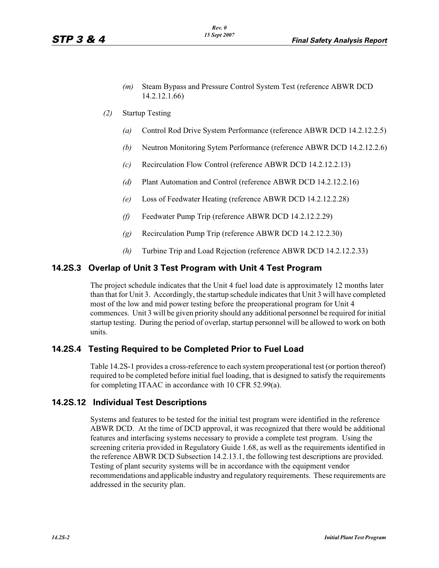- *(m)* Steam Bypass and Pressure Control System Test (reference ABWR DCD 14.2.12.1.66)
- *(2)* Startup Testing
	- *(a)* Control Rod Drive System Performance (reference ABWR DCD 14.2.12.2.5)
	- *(b)* Neutron Monitoring Sytem Performance (reference ABWR DCD 14.2.12.2.6)
	- *(c)* Recirculation Flow Control (reference ABWR DCD 14.2.12.2.13)
	- *(d)* Plant Automation and Control (reference ABWR DCD 14.2.12.2.16)
	- *(e)* Loss of Feedwater Heating (reference ABWR DCD 14.2.12.2.28)
	- *(f)* Feedwater Pump Trip (reference ABWR DCD 14.2.12.2.29)
	- *(g)* Recirculation Pump Trip (reference ABWR DCD 14.2.12.2.30)
	- *(h)* Turbine Trip and Load Rejection (reference ABWR DCD 14.2.12.2.33)

## **14.2S.3 Overlap of Unit 3 Test Program with Unit 4 Test Program**

The project schedule indicates that the Unit 4 fuel load date is approximately 12 months later than that for Unit 3. Accordingly, the startup schedule indicates that Unit 3 will have completed most of the low and mid power testing before the preoperational program for Unit 4 commences. Unit 3 will be given priority should any additional personnel be required for initial startup testing. During the period of overlap, startup personnel will be allowed to work on both units.

## **14.2S.4 Testing Required to be Completed Prior to Fuel Load**

Table 14.2S-1 provides a cross-reference to each system preoperational test (or portion thereof) required to be completed before initial fuel loading, that is designed to satisfy the requirements for completing ITAAC in accordance with 10 CFR 52.99(a).

## **14.2S.12 Individual Test Descriptions**

Systems and features to be tested for the initial test program were identified in the reference ABWR DCD. At the time of DCD approval, it was recognized that there would be additional features and interfacing systems necessary to provide a complete test program. Using the screening criteria provided in Regulatory Guide 1.68, as well as the requirements identified in the reference ABWR DCD Subsection 14.2.13.1, the following test descriptions are provided. Testing of plant security systems will be in accordance with the equipment vendor recommendations and applicable industry and regulatory requirements. These requirements are addressed in the security plan.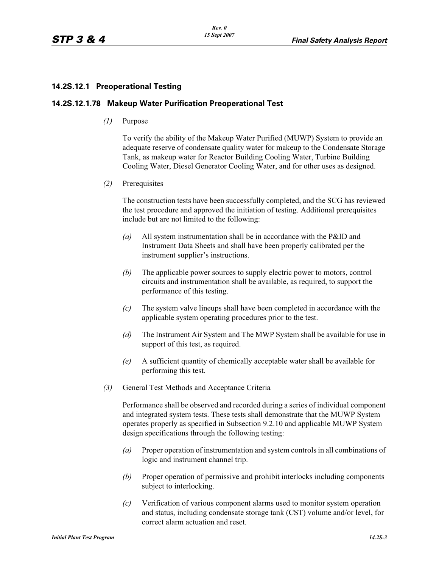### **14.2S.12.1 Preoperational Testing**

#### **14.2S.12.1.78 Makeup Water Purification Preoperational Test**

*(1)* Purpose

To verify the ability of the Makeup Water Purified (MUWP) System to provide an adequate reserve of condensate quality water for makeup to the Condensate Storage Tank, as makeup water for Reactor Building Cooling Water, Turbine Building Cooling Water, Diesel Generator Cooling Water, and for other uses as designed.

*(2)* Prerequisites

The construction tests have been successfully completed, and the SCG has reviewed the test procedure and approved the initiation of testing. Additional prerequisites include but are not limited to the following:

- *(a)* All system instrumentation shall be in accordance with the P&ID and Instrument Data Sheets and shall have been properly calibrated per the instrument supplier's instructions.
- *(b)* The applicable power sources to supply electric power to motors, control circuits and instrumentation shall be available, as required, to support the performance of this testing.
- *(c)* The system valve lineups shall have been completed in accordance with the applicable system operating procedures prior to the test.
- *(d)* The Instrument Air System and The MWP System shall be available for use in support of this test, as required.
- *(e)* A sufficient quantity of chemically acceptable water shall be available for performing this test.
- *(3)* General Test Methods and Acceptance Criteria

Performance shall be observed and recorded during a series of individual component and integrated system tests. These tests shall demonstrate that the MUWP System operates properly as specified in Subsection 9.2.10 and applicable MUWP System design specifications through the following testing:

- *(a)* Proper operation of instrumentation and system controls in all combinations of logic and instrument channel trip.
- *(b)* Proper operation of permissive and prohibit interlocks including components subject to interlocking.
- *(c)* Verification of various component alarms used to monitor system operation and status, including condensate storage tank (CST) volume and/or level, for correct alarm actuation and reset.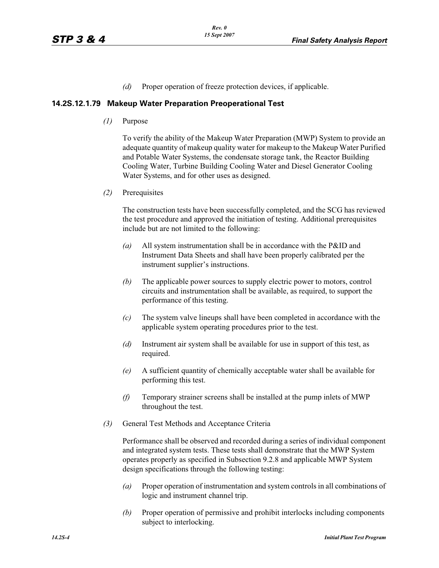*(d)* Proper operation of freeze protection devices, if applicable.

#### **14.2S.12.1.79 Makeup Water Preparation Preoperational Test**

*(1)* Purpose

To verify the ability of the Makeup Water Preparation (MWP) System to provide an adequate quantity of makeup quality water for makeup to the Makeup Water Purified and Potable Water Systems, the condensate storage tank, the Reactor Building Cooling Water, Turbine Building Cooling Water and Diesel Generator Cooling Water Systems, and for other uses as designed.

*(2)* Prerequisites

The construction tests have been successfully completed, and the SCG has reviewed the test procedure and approved the initiation of testing. Additional prerequisites include but are not limited to the following:

- *(a)* All system instrumentation shall be in accordance with the P&ID and Instrument Data Sheets and shall have been properly calibrated per the instrument supplier's instructions.
- *(b)* The applicable power sources to supply electric power to motors, control circuits and instrumentation shall be available, as required, to support the performance of this testing.
- *(c)* The system valve lineups shall have been completed in accordance with the applicable system operating procedures prior to the test.
- *(d)* Instrument air system shall be available for use in support of this test, as required.
- *(e)* A sufficient quantity of chemically acceptable water shall be available for performing this test.
- *(f)* Temporary strainer screens shall be installed at the pump inlets of MWP throughout the test.
- *(3)* General Test Methods and Acceptance Criteria

Performance shall be observed and recorded during a series of individual component and integrated system tests. These tests shall demonstrate that the MWP System operates properly as specified in Subsection 9.2.8 and applicable MWP System design specifications through the following testing:

- *(a)* Proper operation of instrumentation and system controls in all combinations of logic and instrument channel trip.
- *(b)* Proper operation of permissive and prohibit interlocks including components subject to interlocking.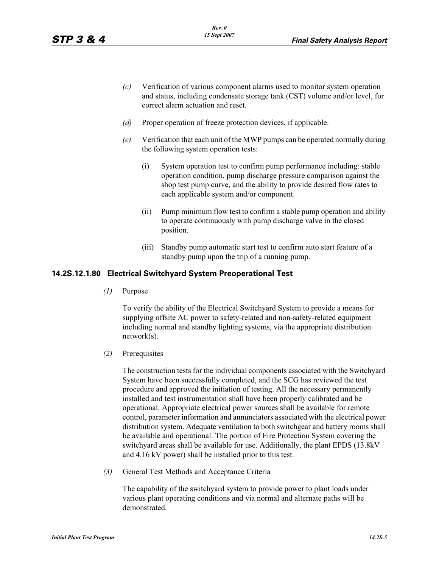- *(c)* Verification of various component alarms used to monitor system operation and status, including condensate storage tank (CST) volume and/or level, for correct alarm actuation and reset.
- *(d)* Proper operation of freeze protection devices, if applicable.
- *(e)* Verification that each unit of the MWP pumps can be operated normally during the following system operation tests:
	- (i) System operation test to confirm pump performance including: stable operation condition, pump discharge pressure comparison against the shop test pump curve, and the ability to provide desired flow rates to each applicable system and/or component.
	- (ii) Pump minimum flow test to confirm a stable pump operation and ability to operate continuously with pump discharge valve in the closed position.
	- (iii) Standby pump automatic start test to confirm auto start feature of a standby pump upon the trip of a running pump.

#### **14.2S.12.1.80 Electrical Switchyard System Preoperational Test**

*(1)* Purpose

To verify the ability of the Electrical Switchyard System to provide a means for supplying offsite AC power to safety-related and non-safety-related equipment including normal and standby lighting systems, via the appropriate distribution network(s).

*(2)* Prerequisites

The construction tests for the individual components associated with the Switchyard System have been successfully completed, and the SCG has reviewed the test procedure and approved the initiation of testing. All the necessary permanently installed and test instrumentation shall have been properly calibrated and be operational. Appropriate electrical power sources shall be available for remote control, parameter information and annunciators associated with the electrical power distribution system. Adequate ventilation to both switchgear and battery rooms shall be available and operational. The portion of Fire Protection System covering the switchyard areas shall be available for use. Additionally, the plant EPDS (13.8kV and 4.16 kV power) shall be installed prior to this test.

*(3)* General Test Methods and Acceptance Criteria

The capability of the switchyard system to provide power to plant loads under various plant operating conditions and via normal and alternate paths will be demonstrated.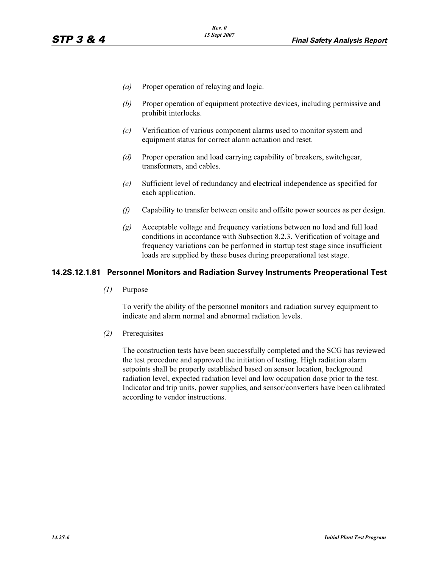- *(a)* Proper operation of relaying and logic.
- *(b)* Proper operation of equipment protective devices, including permissive and prohibit interlocks.
- *(c)* Verification of various component alarms used to monitor system and equipment status for correct alarm actuation and reset.
- *(d)* Proper operation and load carrying capability of breakers, switchgear, transformers, and cables.
- *(e)* Sufficient level of redundancy and electrical independence as specified for each application.
- *(f)* Capability to transfer between onsite and offsite power sources as per design.
- *(g)* Acceptable voltage and frequency variations between no load and full load conditions in accordance with Subsection 8.2.3. Verification of voltage and frequency variations can be performed in startup test stage since insufficient loads are supplied by these buses during preoperational test stage.

#### **14.2S.12.1.81 Personnel Monitors and Radiation Survey Instruments Preoperational Test**

*(1)* Purpose

To verify the ability of the personnel monitors and radiation survey equipment to indicate and alarm normal and abnormal radiation levels.

*(2)* Prerequisites

The construction tests have been successfully completed and the SCG has reviewed the test procedure and approved the initiation of testing. High radiation alarm setpoints shall be properly established based on sensor location, background radiation level, expected radiation level and low occupation dose prior to the test. Indicator and trip units, power supplies, and sensor/converters have been calibrated according to vendor instructions.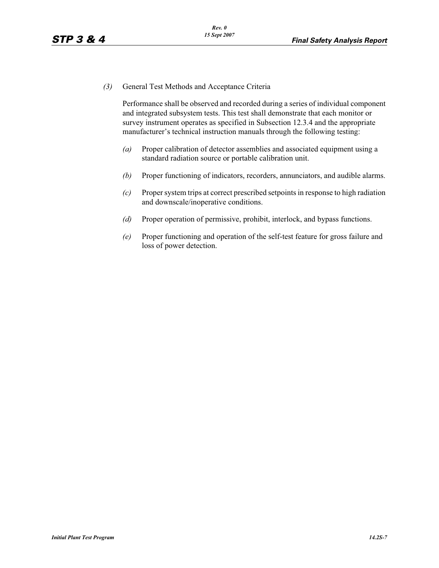*(3)* General Test Methods and Acceptance Criteria

Performance shall be observed and recorded during a series of individual component and integrated subsystem tests. This test shall demonstrate that each monitor or survey instrument operates as specified in Subsection 12.3.4 and the appropriate manufacturer's technical instruction manuals through the following testing:

- *(a)* Proper calibration of detector assemblies and associated equipment using a standard radiation source or portable calibration unit.
- *(b)* Proper functioning of indicators, recorders, annunciators, and audible alarms.
- *(c)* Proper system trips at correct prescribed setpoints in response to high radiation and downscale/inoperative conditions.
- *(d)* Proper operation of permissive, prohibit, interlock, and bypass functions.
- *(e)* Proper functioning and operation of the self-test feature for gross failure and loss of power detection.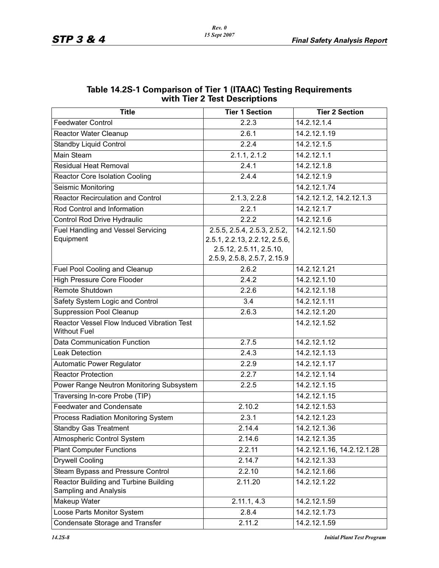| WILD THE Z TEST DESCRIPTIONS                                      |                                                                                                                        |                            |  |  |
|-------------------------------------------------------------------|------------------------------------------------------------------------------------------------------------------------|----------------------------|--|--|
| <b>Title</b>                                                      | <b>Tier 1 Section</b>                                                                                                  | <b>Tier 2 Section</b>      |  |  |
| <b>Feedwater Control</b>                                          | 2.2.3                                                                                                                  | 14.2.12.1.4                |  |  |
| Reactor Water Cleanup                                             | 2.6.1                                                                                                                  | 14.2.12.1.19               |  |  |
| <b>Standby Liquid Control</b>                                     | 2.2.4                                                                                                                  | 14.2.12.1.5                |  |  |
| Main Steam                                                        | 2.1.1, 2.1.2                                                                                                           | 14.2.12.1.1                |  |  |
| <b>Residual Heat Removal</b>                                      | 2.4.1                                                                                                                  | 14.2.12.1.8                |  |  |
| <b>Reactor Core Isolation Cooling</b>                             | 2.4.4                                                                                                                  | 14.2.12.1.9                |  |  |
| Seismic Monitoring                                                |                                                                                                                        | 14.2.12.1.74               |  |  |
| <b>Reactor Recirculation and Control</b>                          | $2.1.3, 2.2.\overline{8}$                                                                                              | 14.2.12.1.2, 14.2.12.1.3   |  |  |
| Rod Control and Information                                       | 2.2.1                                                                                                                  | 14.2.12.1.7                |  |  |
| Control Rod Drive Hydraulic                                       | 2.2.2                                                                                                                  | 14.2.12.1.6                |  |  |
| <b>Fuel Handling and Vessel Servicing</b><br>Equipment            | 2.5.5, 2.5.4, 2.5.3, 2.5.2,<br>2.5.1, 2.2.13, 2.2.12, 2.5.6,<br>2.5.12, 2.5.11, 2.5.10,<br>2.5.9, 2.5.8, 2.5.7, 2.15.9 | 14.2.12.1.50               |  |  |
| Fuel Pool Cooling and Cleanup                                     | 2.6.2                                                                                                                  | 14.2.12.1.21               |  |  |
| <b>High Pressure Core Flooder</b>                                 | 2.4.2                                                                                                                  | 14.2.12.1.10               |  |  |
| Remote Shutdown                                                   | 2.2.6                                                                                                                  | 14.2.12.1.18               |  |  |
| Safety System Logic and Control                                   | 3.4                                                                                                                    | 14.2.12.1.11               |  |  |
| <b>Suppression Pool Cleanup</b>                                   | 2.6.3                                                                                                                  | 14.2.12.1.20               |  |  |
| Reactor Vessel Flow Induced Vibration Test<br><b>Without Fuel</b> |                                                                                                                        | 14.2.12.1.52               |  |  |
| Data Communication Function                                       | 2.7.5                                                                                                                  | 14.2.12.1.12               |  |  |
| <b>Leak Detection</b>                                             | 2.4.3                                                                                                                  | 14.2.12.1.13               |  |  |
| <b>Automatic Power Regulator</b>                                  | 2.2.9                                                                                                                  | 14.2.12.1.17               |  |  |
| <b>Reactor Protection</b>                                         | 2.2.7                                                                                                                  | 14.2.12.1.14               |  |  |
| Power Range Neutron Monitoring Subsystem                          | 2.2.5                                                                                                                  | 14.2.12.1.15               |  |  |
| Traversing In-core Probe (TIP)                                    |                                                                                                                        | 14.2.12.1.15               |  |  |
| <b>Feedwater and Condensate</b>                                   | 2.10.2                                                                                                                 | 14.2.12.1.53               |  |  |
| <b>Process Radiation Monitoring System</b>                        | 2.3.1                                                                                                                  | 14.2.12.1.23               |  |  |
| <b>Standby Gas Treatment</b>                                      | 2.14.4                                                                                                                 | 14.2.12.1.36               |  |  |
| Atmospheric Control System                                        | 2.14.6                                                                                                                 | 14.2.12.1.35               |  |  |
| <b>Plant Computer Functions</b>                                   | 2.2.11                                                                                                                 | 14.2.12.1.16, 14.2.12.1.28 |  |  |
| <b>Drywell Cooling</b>                                            | 2.14.7                                                                                                                 | 14.2.12.1.33               |  |  |
| Steam Bypass and Pressure Control                                 | 2.2.10                                                                                                                 | 14.2.12.1.66               |  |  |
| Reactor Building and Turbine Building<br>Sampling and Analysis    | 2.11.20                                                                                                                | 14.2.12.1.22               |  |  |
| Makeup Water                                                      | 2.11.1, 4.3                                                                                                            | 14.2.12.1.59               |  |  |
| Loose Parts Monitor System                                        | 2.8.4                                                                                                                  | 14.2.12.1.73               |  |  |
| Condensate Storage and Transfer                                   | 2.11.2                                                                                                                 | 14.2.12.1.59               |  |  |

## **Table 14.2S-1 Comparison of Tier 1 (ITAAC) Testing Requirements with Tier 2 Test Descriptions**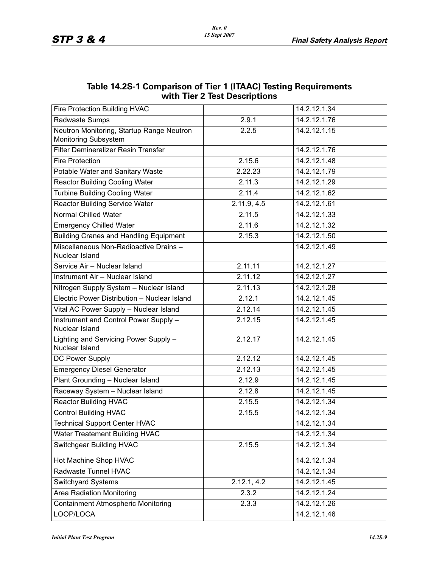| WITH THE Z TEST DESCRIPTIONS                                             |             |              |  |  |
|--------------------------------------------------------------------------|-------------|--------------|--|--|
| Fire Protection Building HVAC                                            |             | 14.2.12.1.34 |  |  |
| Radwaste Sumps                                                           | 2.9.1       | 14.2.12.1.76 |  |  |
| Neutron Monitoring, Startup Range Neutron<br><b>Monitoring Subsystem</b> | 2.2.5       | 14.2.12.1.15 |  |  |
| Filter Demineralizer Resin Transfer                                      |             | 14.2.12.1.76 |  |  |
| <b>Fire Protection</b>                                                   | 2.15.6      | 14.2.12.1.48 |  |  |
| Potable Water and Sanitary Waste                                         | 2.22.23     | 14.2.12.1.79 |  |  |
| <b>Reactor Building Cooling Water</b>                                    | 2.11.3      | 14.2.12.1.29 |  |  |
| <b>Turbine Building Cooling Water</b>                                    | 2.11.4      | 14.2.12.1.62 |  |  |
| <b>Reactor Building Service Water</b>                                    | 2.11.9, 4.5 | 14.2.12.1.61 |  |  |
| <b>Normal Chilled Water</b>                                              | 2.11.5      | 14.2.12.1.33 |  |  |
| <b>Emergency Chilled Water</b>                                           | 2.11.6      | 14.2.12.1.32 |  |  |
| <b>Building Cranes and Handling Equipment</b>                            | 2.15.3      | 14.2.12.1.50 |  |  |
| Miscellaneous Non-Radioactive Drains-<br>Nuclear Island                  |             | 14.2.12.1.49 |  |  |
| Service Air - Nuclear Island                                             | 2.11.11     | 14.2.12.1.27 |  |  |
| Instrument Air - Nuclear Island                                          | 2.11.12     | 14.2.12.1.27 |  |  |
| Nitrogen Supply System - Nuclear Island                                  | 2.11.13     | 14.2.12.1.28 |  |  |
| Electric Power Distribution - Nuclear Island                             | 2.12.1      | 14.2.12.1.45 |  |  |
| Vital AC Power Supply - Nuclear Island                                   | 2.12.14     | 14.2.12.1.45 |  |  |
| Instrument and Control Power Supply -<br>Nuclear Island                  | 2.12.15     | 14.2.12.1.45 |  |  |
| Lighting and Servicing Power Supply -<br>Nuclear Island                  | 2.12.17     | 14.2.12.1.45 |  |  |
| DC Power Supply                                                          | 2.12.12     | 14.2.12.1.45 |  |  |
| <b>Emergency Diesel Generator</b>                                        | 2.12.13     | 14.2.12.1.45 |  |  |
| Plant Grounding - Nuclear Island                                         | 2.12.9      | 14.2.12.1.45 |  |  |
| Raceway System - Nuclear Island                                          | 2.12.8      | 14.2.12.1.45 |  |  |
| <b>Reactor Building HVAC</b>                                             | 2.15.5      | 14.2.12.1.34 |  |  |
| <b>Control Building HVAC</b>                                             | 2.15.5      | 14.2.12.1.34 |  |  |
| <b>Technical Support Center HVAC</b>                                     |             | 14.2.12.1.34 |  |  |
| <b>Water Treatement Building HVAC</b>                                    |             | 14.2.12.1.34 |  |  |
| Switchgear Building HVAC                                                 | 2.15.5      | 14.2.12.1.34 |  |  |
| Hot Machine Shop HVAC                                                    |             | 14.2.12.1.34 |  |  |
| Radwaste Tunnel HVAC                                                     |             | 14.2.12.1.34 |  |  |
| <b>Switchyard Systems</b>                                                | 2.12.1, 4.2 | 14.2.12.1.45 |  |  |
| <b>Area Radiation Monitoring</b>                                         | 2.3.2       | 14.2.12.1.24 |  |  |
| <b>Containment Atmospheric Monitoring</b>                                | 2.3.3       | 14.2.12.1.26 |  |  |
| LOOP/LOCA                                                                |             | 14.2.12.1.46 |  |  |

### **Table 14.2S-1 Comparison of Tier 1 (ITAAC) Testing Requirements with Tier 2 Test Descriptions**